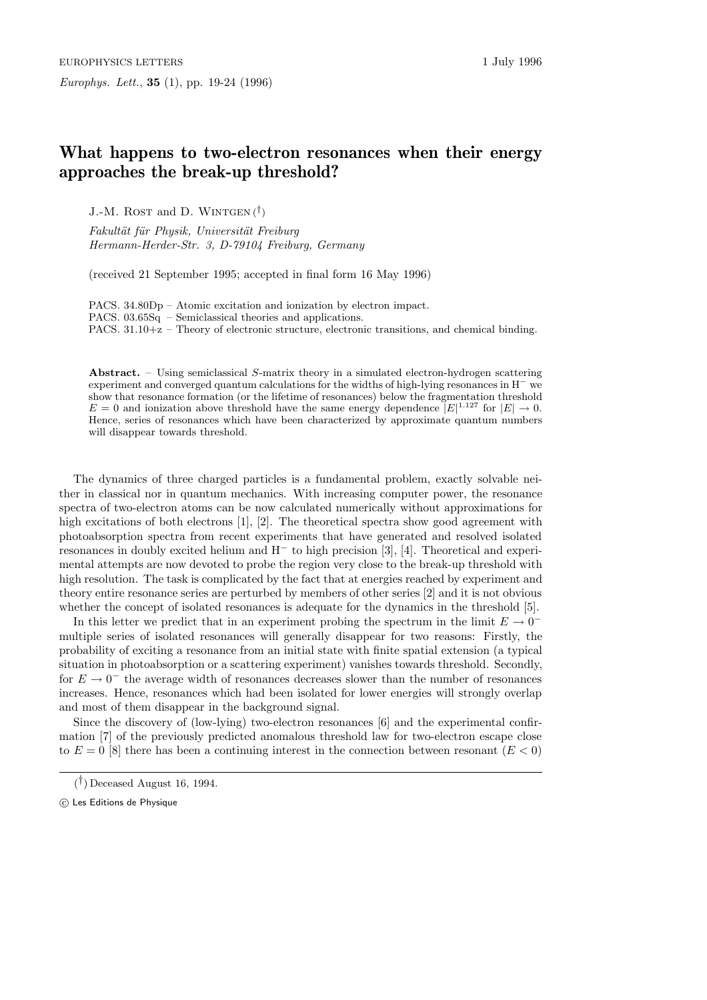## **What happens to two-electron resonances when their energy approaches the break-up threshold?**

J.-M. Rost and D. Wintgen (*†*)

Fakultät für Physik, Universität Freiburg Hermann-Herder-Str. 3, D-79104 Freiburg, Germany

(received 21 September 1995; accepted in final form 16 May 1996)

PACS. 34.80Dp – Atomic excitation and ionization by electron impact. PACS. 03.65Sq – Semiclassical theories and applications. PACS. 31.10+z – Theory of electronic structure, electronic transitions, and chemical binding.

**Abstract.** – Using semiclassical S-matrix theory in a simulated electron-hydrogen scattering experiment and converged quantum calculations for the widths of high-lying resonances in H*<sup>−</sup>* we show that resonance formation (or the lifetime of resonances) below the fragmentation threshold  $E = 0$  and ionization above threshold have the same energy dependence  $|E|^{1.127}$  for  $|E| \to 0$ . Hence, series of resonances which have been characterized by approximate quantum numbers will disappear towards threshold.

The dynamics of three charged particles is a fundamental problem, exactly solvable neither in classical nor in quantum mechanics. With increasing computer power, the resonance spectra of two-electron atoms can be now calculated numerically without approximations for high excitations of both electrons  $[1], [2]$ . The theoretical spectra show good agreement with photoabsorption spectra from recent experiments that have generated and resolved isolated resonances in doubly excited helium and H*<sup>−</sup>* to high precision [3], [4]. Theoretical and experimental attempts are now devoted to probe the region very close to the break-up threshold with high resolution. The task is complicated by the fact that at energies reached by experiment and theory entire resonance series are perturbed by members of other series [2] and it is not obvious whether the concept of isolated resonances is adequate for the dynamics in the threshold [5].

In this letter we predict that in an experiment probing the spectrum in the limit  $E \to 0^$ multiple series of isolated resonances will generally disappear for two reasons: Firstly, the probability of exciting a resonance from an initial state with finite spatial extension (a typical situation in photoabsorption or a scattering experiment) vanishes towards threshold. Secondly, for  $E \to 0^-$  the average width of resonances decreases slower than the number of resonances increases. Hence, resonances which had been isolated for lower energies will strongly overlap and most of them disappear in the background signal.

Since the discovery of (low-lying) two-electron resonances [6] and the experimental confirmation [7] of the previously predicted anomalous threshold law for two-electron escape close to  $E = 0$  [8] there has been a continuing interest in the connection between resonant  $(E < 0)$ 

<sup>(</sup> *†*) Deceased August 16, 1994.

 $\circ$  Les Editions de Physique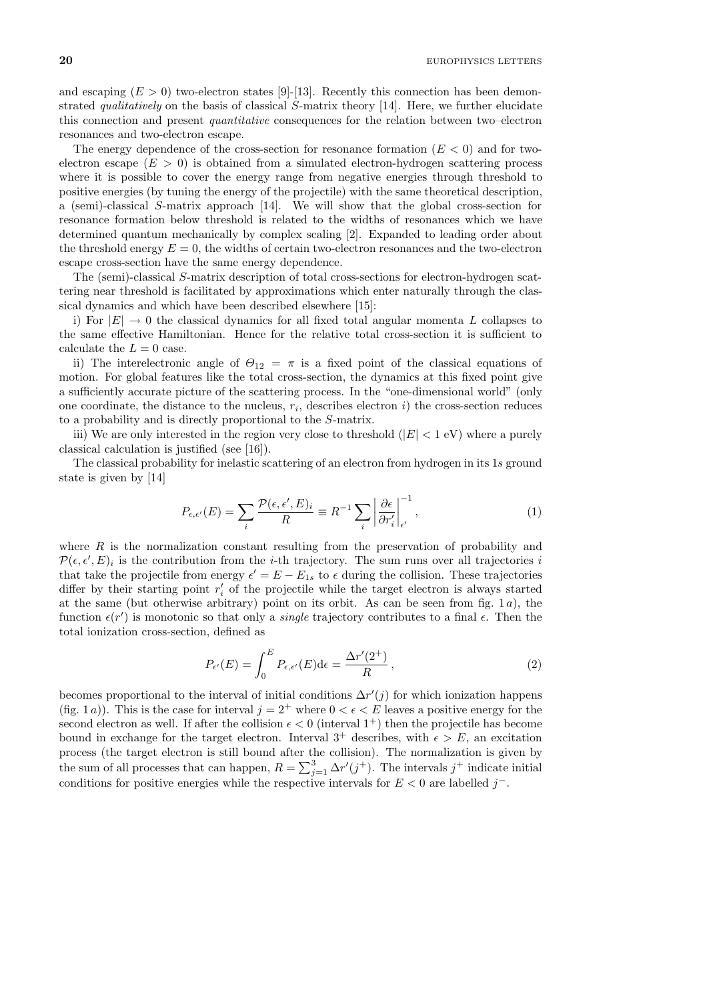and escaping  $(E > 0)$  two-electron states [9]-[13]. Recently this connection has been demonstrated *qualitatively* on the basis of classical S-matrix theory [14]. Here, we further elucidate this connection and present quantitative consequences for the relation between two–electron resonances and two-electron escape.

The energy dependence of the cross-section for resonance formation  $(E < 0)$  and for twoelectron escape  $(E > 0)$  is obtained from a simulated electron-hydrogen scattering process where it is possible to cover the energy range from negative energies through threshold to positive energies (by tuning the energy of the projectile) with the same theoretical description, a (semi)-classical S-matrix approach [14]. We will show that the global cross-section for resonance formation below threshold is related to the widths of resonances which we have determined quantum mechanically by complex scaling [2]. Expanded to leading order about the threshold energy  $E = 0$ , the widths of certain two-electron resonances and the two-electron escape cross-section have the same energy dependence.

The (semi)-classical S-matrix description of total cross-sections for electron-hydrogen scattering near threshold is facilitated by approximations which enter naturally through the classical dynamics and which have been described elsewhere [15]:

i) For  $|E| \to 0$  the classical dynamics for all fixed total angular momenta L collapses to the same effective Hamiltonian. Hence for the relative total cross-section it is sufficient to calculate the  $L = 0$  case.

ii) The interelectronic angle of  $\Theta_{12} = \pi$  is a fixed point of the classical equations of motion. For global features like the total cross-section, the dynamics at this fixed point give a sufficiently accurate picture of the scattering process. In the "one-dimensional world" (only one coordinate, the distance to the nucleus,  $r_i$ , describes electron i) the cross-section reduces to a probability and is directly proportional to the S-matrix.

iii) We are only interested in the region very close to threshold  $(|E| < 1$  eV) where a purely classical calculation is justified (see [16]).

The classical probability for inelastic scattering of an electron from hydrogen in its 1s ground state is given by [14]

$$
P_{\epsilon,\epsilon'}(E) = \sum_{i} \frac{\mathcal{P}(\epsilon,\epsilon',E)_i}{R} \equiv R^{-1} \sum_{i} \left| \frac{\partial \epsilon}{\partial r'_i} \right|_{\epsilon'}^{-1},\tag{1}
$$

where  $R$  is the normalization constant resulting from the preservation of probability and  $\mathcal{P}(\epsilon, \epsilon', E)_i$  is the contribution from the *i*-th trajectory. The sum runs over all trajectories *i* that take the projectile from energy  $\epsilon' = E - E_{1s}$  to  $\epsilon$  during the collision. These trajectories differ by their starting point  $r_i'$  of the projectile while the target electron is always started at the same (but otherwise arbitrary) point on its orbit. As can be seen from fig.  $1a$ ), the function  $\epsilon(r')$  is monotonic so that only a *single* trajectory contributes to a final  $\epsilon$ . Then the total ionization cross-section, defined as

$$
P_{\epsilon'}(E) = \int_0^E P_{\epsilon,\epsilon'}(E) d\epsilon = \frac{\Delta r'(2^+)}{R},\tag{2}
$$

becomes proportional to the interval of initial conditions  $\Delta r'(j)$  for which ionization happens (fig. 1*a*)). This is the case for interval  $j = 2^+$  where  $0 < \epsilon < E$  leaves a positive energy for the second electron as well. If after the collision  $\epsilon < 0$  (interval  $1^+$ ) then the projectile has become bound in exchange for the target electron. Interval  $3^+$  describes, with  $\epsilon > E$ , an excitation process (the target electron is still bound after the collision). The normalization is given by the sum of all processes that can happen,  $R = \sum_{j=1}^{3} \Delta r'(j^+)$ . The intervals  $j^+$  indicate initial conditions for positive energies while the respective intervals for E < 0 are labelled j*−*.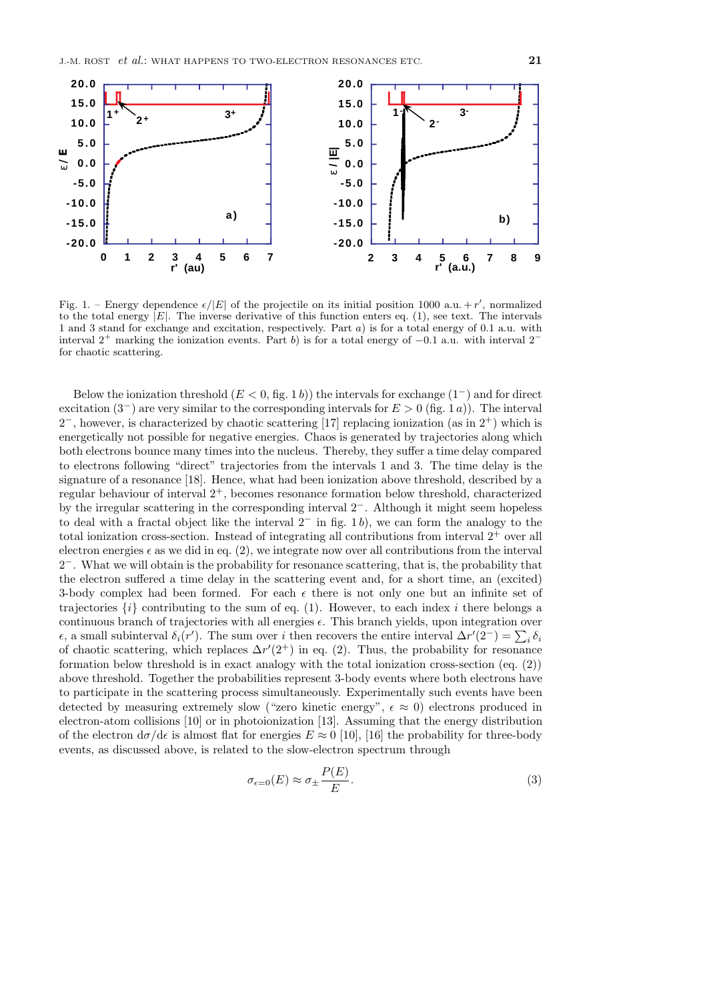

Fig. 1. – Energy dependence  $\epsilon/|E|$  of the projectile on its initial position 1000 a.u. + r', normalized to the total energy  $|E|$ . The inverse derivative of this function enters eq. (1), see text. The intervals 1 and 3 stand for exchange and excitation, respectively. Part a) is for a total energy of 0.1 a.u. with interval 2<sup>+</sup> marking the ionization events. Part <sup>b</sup>) is for a total energy of *<sup>−</sup>*0.1 a.u. with interval 2*<sup>−</sup>* for chaotic scattering.

Below the ionization threshold (E < 0, fig. 1 b)) the intervals for exchange (1*−*) and for direct excitation (3*−*) are very similar to the corresponding intervals for E > 0 (fig. 1 a)). The interval 2*−*, however, is characterized by chaotic scattering [17] replacing ionization (as in 2<sup>+</sup>) which is energetically not possible for negative energies. Chaos is generated by trajectories along which both electrons bounce many times into the nucleus. Thereby, they suffer a time delay compared to electrons following "direct" trajectories from the intervals 1 and 3. The time delay is the signature of a resonance [18]. Hence, what had been ionization above threshold, described by a regular behaviour of interval  $2^+$ , becomes resonance formation below threshold, characterized by the irregular scattering in the corresponding interval 2*−*. Although it might seem hopeless to deal with a fractal object like the interval 2*<sup>−</sup>* in fig. 1 b), we can form the analogy to the total ionization cross-section. Instead of integrating all contributions from interval  $2^+$  over all electron energies  $\epsilon$  as we did in eq. (2), we integrate now over all contributions from the interval 2*−*. What we will obtain is the probability for resonance scattering, that is, the probability that the electron suffered a time delay in the scattering event and, for a short time, an (excited) 3-body complex had been formed. For each  $\epsilon$  there is not only one but an infinite set of trajectories  $\{i\}$  contributing to the sum of eq. (1). However, to each index i there belongs a continuous branch of trajectories with all energies  $\epsilon$ . This branch yields, upon integration over  $\epsilon$ , a small subinterval  $\delta_i(r')$ . The sum over i then recovers the entire interval  $\Delta r'(2^-) = \sum_i \delta_i$ of chaotic scattering, which replaces  $\Delta r'(2^+)$  in eq. (2). Thus, the probability for resonance formation below threshold is in exact analogy with the total ionization cross-section (eq. (2)) above threshold. Together the probabilities represent 3-body events where both electrons have to participate in the scattering process simultaneously. Experimentally such events have been detected by measuring extremely slow ("zero kinetic energy",  $\epsilon \approx 0$ ) electrons produced in electron-atom collisions [10] or in photoionization [13]. Assuming that the energy distribution of the electron  $d\sigma/d\epsilon$  is almost flat for energies  $E \approx 0$  [10], [16] the probability for three-body events, as discussed above, is related to the slow-electron spectrum through

$$
\sigma_{\epsilon=0}(E) \approx \sigma_{\pm} \frac{P(E)}{E}.
$$
\n(3)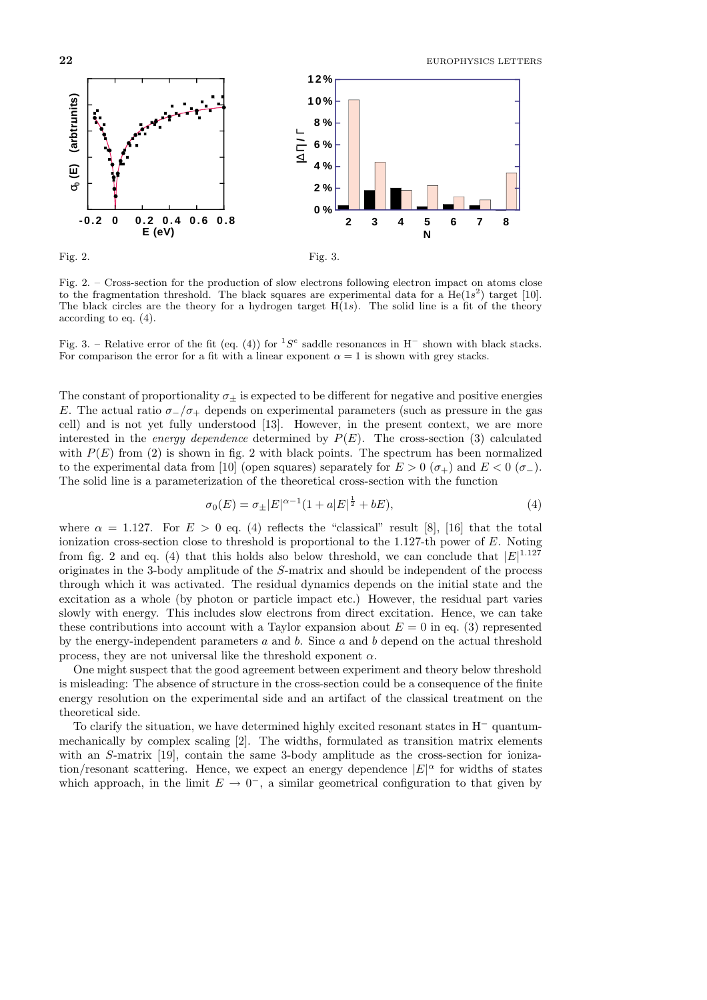**22** EUROPHYSICS LETTERS



Fig. 2. – Cross-section for the production of slow electrons following electron impact on atoms close to the fragmentation threshold. The black squares are experimental data for a  $He(1s^2)$  target [10]. The black circles are the theory for a hydrogen target  $H(1s)$ . The solid line is a fit of the theory according to eq. (4).

Fig. 3. – Relative error of the fit (eq. (4)) for <sup>1</sup>S<sup>e</sup> saddle resonances in H*<sup>−</sup>* shown with black stacks. For comparison the error for a fit with a linear exponent  $\alpha = 1$  is shown with grey stacks.

The constant of proportionality  $\sigma_{\pm}$  is expected to be different for negative and positive energies E. The actual ratio  $\sigma$ <sub>−</sub>/ $\sigma$ <sub>+</sub> depends on experimental parameters (such as pressure in the gas cell) and is not yet fully understood [13]. However, in the present context, we are more interested in the *energy dependence* determined by  $P(E)$ . The cross-section (3) calculated with  $P(E)$  from (2) is shown in fig. 2 with black points. The spectrum has been normalized to the experimental data from [10] (open squares) separately for  $E > 0$  ( $\sigma_+$ ) and  $E < 0$  ( $\sigma_-$ ). The solid line is a parameterization of the theoretical cross-section with the function

$$
\sigma_0(E) = \sigma_{\pm}|E|^{\alpha - 1}(1 + a|E|^{\frac{1}{2}} + bE),\tag{4}
$$

where  $\alpha = 1.127$ . For  $E > 0$  eq. (4) reflects the "classical" result [8], [16] that the total ionization cross-section close to threshold is proportional to the 1.127-th power of E. Noting from fig. 2 and eq. (4) that this holds also below threshold, we can conclude that  $|E|^{1.127}$ originates in the 3-body amplitude of the S-matrix and should be independent of the process through which it was activated. The residual dynamics depends on the initial state and the excitation as a whole (by photon or particle impact etc.) However, the residual part varies slowly with energy. This includes slow electrons from direct excitation. Hence, we can take these contributions into account with a Taylor expansion about  $E = 0$  in eq. (3) represented by the energy-independent parameters  $a$  and  $b$ . Since  $a$  and  $b$  depend on the actual threshold process, they are not universal like the threshold exponent  $\alpha$ .

One might suspect that the good agreement between experiment and theory below threshold is misleading: The absence of structure in the cross-section could be a consequence of the finite energy resolution on the experimental side and an artifact of the classical treatment on the theoretical side.

To clarify the situation, we have determined highly excited resonant states in H*<sup>−</sup>* quantummechanically by complex scaling [2]. The widths, formulated as transition matrix elements with an S-matrix [19], contain the same 3-body amplitude as the cross-section for ionization/resonant scattering. Hence, we expect an energy dependence  $|E|^{\alpha}$  for widths of states which approach, in the limit  $E \to 0^-$ , a similar geometrical configuration to that given by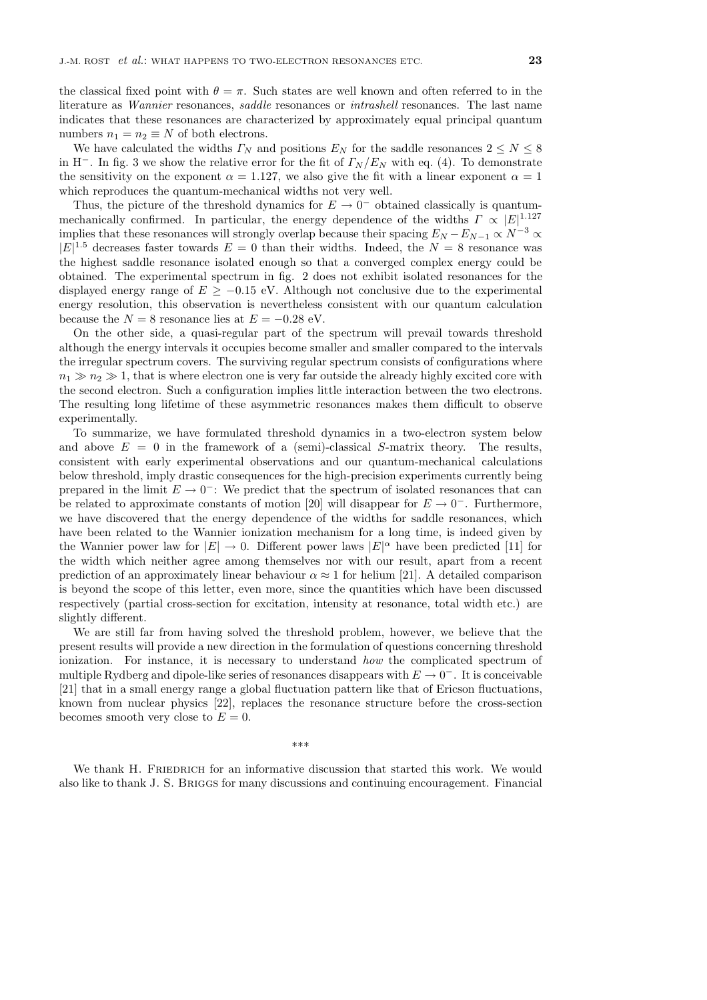the classical fixed point with  $\theta = \pi$ . Such states are well known and often referred to in the literature as *Wannier* resonances, *saddle* resonances or *intrashell* resonances. The last name indicates that these resonances are characterized by approximately equal principal quantum numbers  $n_1 = n_2 \equiv N$  of both electrons.

We have calculated the widths  $\Gamma_N$  and positions  $E_N$  for the saddle resonances  $2 \leq N \leq 8$ in H<sup>−</sup>. In fig. 3 we show the relative error for the fit of  $\Gamma_N/E_N$  with eq. (4). To demonstrate the sensitivity on the exponent  $\alpha = 1.127$ , we also give the fit with a linear exponent  $\alpha = 1$ which reproduces the quantum-mechanical widths not very well.

Thus, the picture of the threshold dynamics for  $E \to 0^-$  obtained classically is quantummechanically confirmed. In particular, the energy dependence of the widths  $\Gamma \propto |E|^{1.127}$ implies that these resonances will strongly overlap because their spacing  $E_N - E_{N-1} \propto N^{-3} \propto$  $|E|^{1.5}$  decreases faster towards  $E = 0$  than their widths. Indeed, the  $N = 8$  resonance was the highest saddle resonance isolated enough so that a converged complex energy could be obtained. The experimental spectrum in fig. 2 does not exhibit isolated resonances for the displayed energy range of E *≥ −*0.15 eV. Although not conclusive due to the experimental energy resolution, this observation is nevertheless consistent with our quantum calculation because the  $N = 8$  resonance lies at  $E = -0.28$  eV.

On the other side, a quasi-regular part of the spectrum will prevail towards threshold although the energy intervals it occupies become smaller and smaller compared to the intervals the irregular spectrum covers. The surviving regular spectrum consists of configurations where  $n_1 \gg n_2 \gg 1$ , that is where electron one is very far outside the already highly excited core with the second electron. Such a configuration implies little interaction between the two electrons. The resulting long lifetime of these asymmetric resonances makes them difficult to observe experimentally.

To summarize, we have formulated threshold dynamics in a two-electron system below and above  $E = 0$  in the framework of a (semi)-classical S-matrix theory. The results, consistent with early experimental observations and our quantum-mechanical calculations below threshold, imply drastic consequences for the high-precision experiments currently being prepared in the limit  $E \to 0^-$ : We predict that the spectrum of isolated resonances that can be related to approximate constants of motion [20] will disappear for  $E \to 0^-$ . Furthermore, we have discovered that the energy dependence of the widths for saddle resonances, which have been related to the Wannier ionization mechanism for a long time, is indeed given by the Wannier power law for  $|E| \to 0$ . Different power laws  $|E|^{\alpha}$  have been predicted [11] for the width which neither agree among themselves nor with our result, apart from a recent prediction of an approximately linear behaviour  $\alpha \approx 1$  for helium [21]. A detailed comparison is beyond the scope of this letter, even more, since the quantities which have been discussed respectively (partial cross-section for excitation, intensity at resonance, total width etc.) are slightly different.

We are still far from having solved the threshold problem, however, we believe that the present results will provide a new direction in the formulation of questions concerning threshold ionization. For instance, it is necessary to understand how the complicated spectrum of multiple Rydberg and dipole-like series of resonances disappears with E *→* 0*−*. It is conceivable [21] that in a small energy range a global fluctuation pattern like that of Ericson fluctuations, known from nuclear physics [22], replaces the resonance structure before the cross-section becomes smooth very close to  $E = 0$ .

\*\*\*

We thank H. FRIEDRICH for an informative discussion that started this work. We would also like to thank J. S. Briggs for many discussions and continuing encouragement. Financial